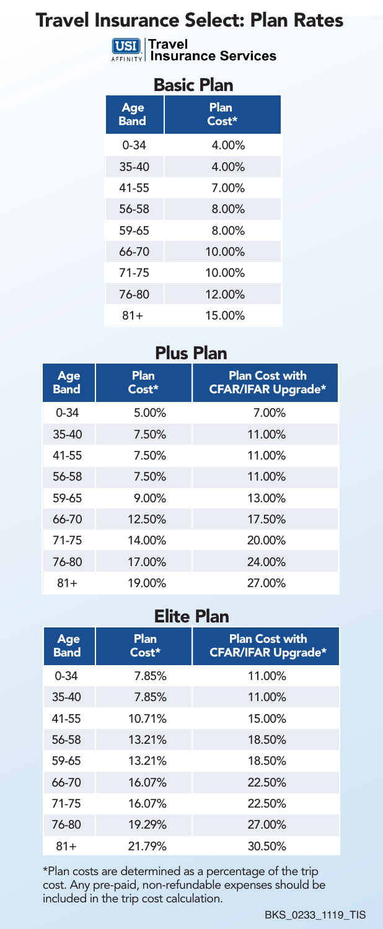# Travel Insurance Select: Plan Rates

**USI** Travel<br>AFFINITY Insurance Services

#### Basic Plan

| Age<br><b>Band</b> | Plan<br>$Cost*$ |  |
|--------------------|-----------------|--|
| $0 - 34$           | 4.00%           |  |
| $35 - 40$          | 4.00%           |  |
| 41-55              | 7.00%           |  |
| 56-58              | 8.00%           |  |
| 59-65              | 8.00%           |  |
| 66-70              | 10.00%          |  |
| 71-75              | 10.00%          |  |
| 76-80              | 12.00%          |  |
| $81+$              | 15.00%          |  |

## Plus Plan

| Age<br><b>Band</b> | Plan<br>Cost* | <b>Plan Cost with</b><br><b>CFAR/IFAR Upgrade*</b> |
|--------------------|---------------|----------------------------------------------------|
| $0 - 34$           | 5.00%         | 7.00%                                              |
| $35-40$            | 7.50%         | 11.00%                                             |
| 41-55              | 7.50%         | 11.00%                                             |
| 56-58              | 7.50%         | 11.00%                                             |
| 59-65              | 9.00%         | 13.00%                                             |
| 66-70              | 12.50%        | 17.50%                                             |
| 71-75              | 14.00%        | 20.00%                                             |
| 76-80              | 17.00%        | 24.00%                                             |
| 81+                | 19.00%        | 27.00%                                             |

### Elite Plan

| Age<br><b>Band</b> | Plan<br>Cost* | <b>Plan Cost with</b><br><b>CFAR/IFAR Upgrade*</b> |
|--------------------|---------------|----------------------------------------------------|
| $0 - 34$           | 7.85%         | 11.00%                                             |
| $35-40$            | 7.85%         | 11.00%                                             |
| 41-55              | 10.71%        | 15.00%                                             |
| 56-58              | 13.21%        | 18.50%                                             |
| 59-65              | 13.21%        | 18.50%                                             |
| 66-70              | 16.07%        | 22.50%                                             |
| 71-75              | 16.07%        | 22.50%                                             |
| 76-80              | 19.29%        | 27.00%                                             |
| $81+$              | 21.79%        | 30.50%                                             |

\*Plan costs are determined as a percentage of the trip cost. Any pre-paid, non-refundable expenses should be included in the trip cost calculation.